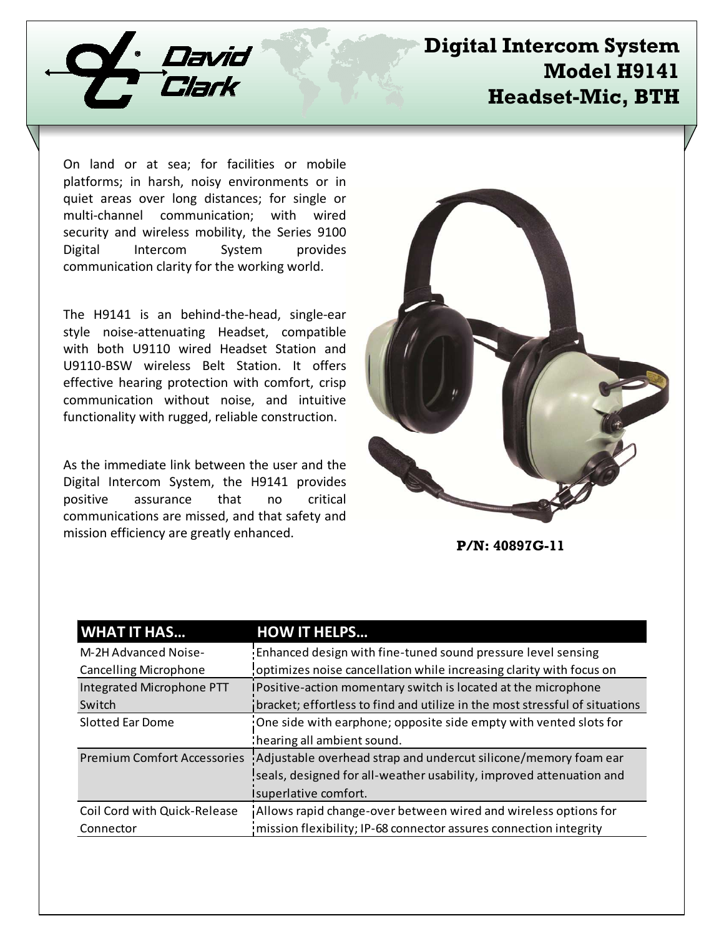

# **Digital Intercom System Model H9141 Headset-Mic, BTH**

On land or at sea; for facilities or mobile platforms; in harsh, noisy environments or in quiet areas over long distances; for single or multi-channel communication; with wired security and wireless mobility, the Series 9100 Digital Intercom System provides communication clarity for the working world.

The H9141 is an behind-the-head, single-ear style noise-attenuating Headset, compatible with both U9110 wired Headset Station and U9110-BSW wireless Belt Station. It offers effective hearing protection with comfort, crisp communication without noise, and intuitive functionality with rugged, reliable construction.

As the immediate link between the user and the Digital Intercom System, the H9141 provides positive assurance that no critical communications are missed, and that safety and mission efficiency are greatly enhanced.



**P/N: 40897G-11**

| <b>WHAT IT HAS</b>                 | <b>HOW IT HELPS</b>                                                         |
|------------------------------------|-----------------------------------------------------------------------------|
| M-2H Advanced Noise-               | Enhanced design with fine-tuned sound pressure level sensing                |
| <b>Cancelling Microphone</b>       | optimizes noise cancellation while increasing clarity with focus on         |
| Integrated Microphone PTT          | IPositive-action momentary switch is located at the microphone              |
| Switch                             | bracket; effortless to find and utilize in the most stressful of situations |
| Slotted Ear Dome                   | One side with earphone; opposite side empty with vented slots for           |
|                                    | : hearing all ambient sound.                                                |
| <b>Premium Comfort Accessories</b> | Adjustable overhead strap and undercut silicone/memory foam ear             |
|                                    | seals, designed for all-weather usability, improved attenuation and         |
|                                    | Isuperlative comfort.                                                       |
| Coil Cord with Quick-Release       | Allows rapid change-over between wired and wireless options for             |
| Connector                          | mission flexibility; IP-68 connector assures connection integrity           |